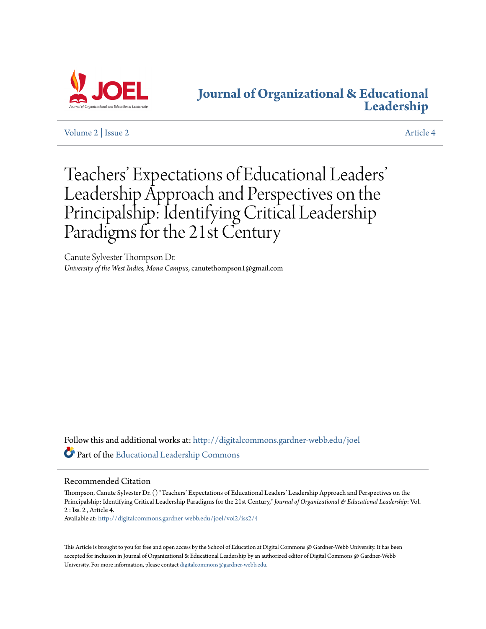

# **[Journal of Organizational & Educational](http://digitalcommons.gardner-webb.edu/joel?utm_source=digitalcommons.gardner-webb.edu%2Fjoel%2Fvol2%2Fiss2%2F4&utm_medium=PDF&utm_campaign=PDFCoverPages) [Leadership](http://digitalcommons.gardner-webb.edu/joel?utm_source=digitalcommons.gardner-webb.edu%2Fjoel%2Fvol2%2Fiss2%2F4&utm_medium=PDF&utm_campaign=PDFCoverPages)**

[Volume 2](http://digitalcommons.gardner-webb.edu/joel/vol2?utm_source=digitalcommons.gardner-webb.edu%2Fjoel%2Fvol2%2Fiss2%2F4&utm_medium=PDF&utm_campaign=PDFCoverPages) | [Issue 2](http://digitalcommons.gardner-webb.edu/joel/vol2/iss2?utm_source=digitalcommons.gardner-webb.edu%2Fjoel%2Fvol2%2Fiss2%2F4&utm_medium=PDF&utm_campaign=PDFCoverPages) [Article 4](http://digitalcommons.gardner-webb.edu/joel/vol2/iss2/4?utm_source=digitalcommons.gardner-webb.edu%2Fjoel%2Fvol2%2Fiss2%2F4&utm_medium=PDF&utm_campaign=PDFCoverPages)

# Teachers' Expectations of Educational Leaders ' Leadership Approach and Perspectives on the Principalship: Identifying Critical Leadership Paradigms for the 21st Century

Canute Sylvester Thompson Dr. *University of the West Indies, Mona Campus*, canutethompson1@gmail.com

Follow this and additional works at: [http://digitalcommons.gardner-webb.edu/joel](http://digitalcommons.gardner-webb.edu/joel?utm_source=digitalcommons.gardner-webb.edu%2Fjoel%2Fvol2%2Fiss2%2F4&utm_medium=PDF&utm_campaign=PDFCoverPages) Part of the [Educational Leadership Commons](http://network.bepress.com/hgg/discipline/1230?utm_source=digitalcommons.gardner-webb.edu%2Fjoel%2Fvol2%2Fiss2%2F4&utm_medium=PDF&utm_campaign=PDFCoverPages)

#### Recommended Citation

Thompson, Canute Sylvester Dr. () "Teachers' Expectations of Educational Leaders' Leadership Approach and Perspectives on the Principalship: Identifying Critical Leadership Paradigms for the 21st Century," *Journal of Organizational & Educational Leadership*: Vol. 2 : Iss. 2 , Article 4.

Available at: [http://digitalcommons.gardner-webb.edu/joel/vol2/iss2/4](http://digitalcommons.gardner-webb.edu/joel/vol2/iss2/4?utm_source=digitalcommons.gardner-webb.edu%2Fjoel%2Fvol2%2Fiss2%2F4&utm_medium=PDF&utm_campaign=PDFCoverPages)

This Article is brought to you for free and open access by the School of Education at Digital Commons @ Gardner-Webb University. It has been accepted for inclusion in Journal of Organizational & Educational Leadership by an authorized editor of Digital Commons @ Gardner-Webb University. For more information, please contact [digitalcommons@gardner-webb.edu.](mailto:digitalcommons@gardner-webb.edu)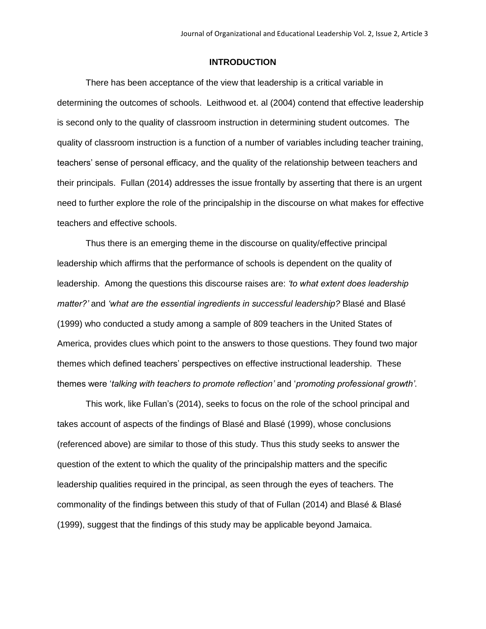## **INTRODUCTION**

There has been acceptance of the view that leadership is a critical variable in determining the outcomes of schools. Leithwood et. al (2004) contend that effective leadership is second only to the quality of classroom instruction in determining student outcomes. The quality of classroom instruction is a function of a number of variables including teacher training, teachers' sense of personal efficacy, and the quality of the relationship between teachers and their principals. Fullan (2014) addresses the issue frontally by asserting that there is an urgent need to further explore the role of the principalship in the discourse on what makes for effective teachers and effective schools.

Thus there is an emerging theme in the discourse on quality/effective principal leadership which affirms that the performance of schools is dependent on the quality of leadership. Among the questions this discourse raises are: *'to what extent does leadership matter?'* and *'what are the essential ingredients in successful leadership?* Blasé and Blasé (1999) who conducted a study among a sample of 809 teachers in the United States of America, provides clues which point to the answers to those questions. They found two major themes which defined teachers' perspectives on effective instructional leadership. These themes were '*talking with teachers to promote reflection'* and '*promoting professional growth'*.

This work, like Fullan's (2014), seeks to focus on the role of the school principal and takes account of aspects of the findings of Blasé and Blasé (1999), whose conclusions (referenced above) are similar to those of this study. Thus this study seeks to answer the question of the extent to which the quality of the principalship matters and the specific leadership qualities required in the principal, as seen through the eyes of teachers. The commonality of the findings between this study of that of Fullan (2014) and Blasé & Blasé (1999), suggest that the findings of this study may be applicable beyond Jamaica.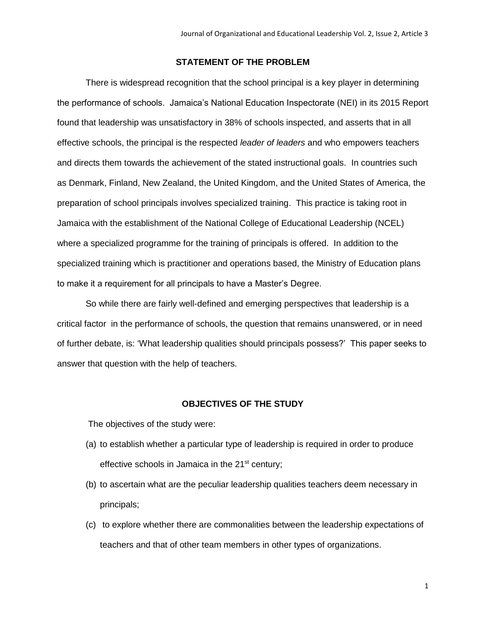# **STATEMENT OF THE PROBLEM**

There is widespread recognition that the school principal is a key player in determining the performance of schools. Jamaica's National Education Inspectorate (NEI) in its 2015 Report found that leadership was unsatisfactory in 38% of schools inspected, and asserts that in all effective schools, the principal is the respected *leader of leaders* and who empowers teachers and directs them towards the achievement of the stated instructional goals. In countries such as Denmark, Finland, New Zealand, the United Kingdom, and the United States of America, the preparation of school principals involves specialized training. This practice is taking root in Jamaica with the establishment of the National College of Educational Leadership (NCEL) where a specialized programme for the training of principals is offered. In addition to the specialized training which is practitioner and operations based, the Ministry of Education plans to make it a requirement for all principals to have a Master's Degree.

So while there are fairly well-defined and emerging perspectives that leadership is a critical factor in the performance of schools, the question that remains unanswered, or in need of further debate, is: 'What leadership qualities should principals possess?' This paper seeks to answer that question with the help of teachers.

#### **OBJECTIVES OF THE STUDY**

The objectives of the study were:

- (a) to establish whether a particular type of leadership is required in order to produce effective schools in Jamaica in the 21<sup>st</sup> century;
- (b) to ascertain what are the peculiar leadership qualities teachers deem necessary in principals;
- (c) to explore whether there are commonalities between the leadership expectations of teachers and that of other team members in other types of organizations.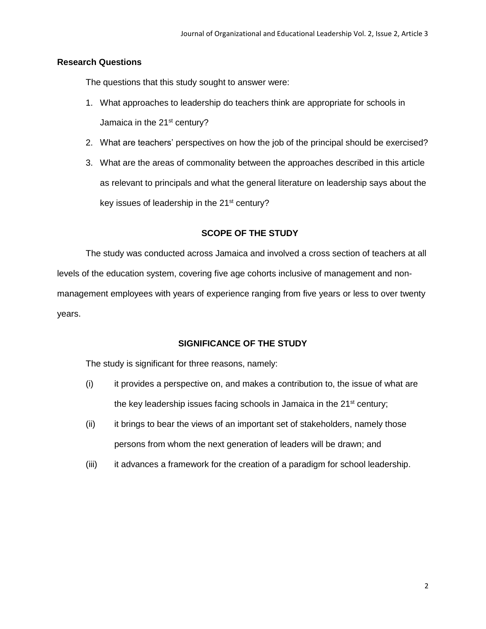## **Research Questions**

The questions that this study sought to answer were:

- 1. What approaches to leadership do teachers think are appropriate for schools in Jamaica in the 21<sup>st</sup> century?
- 2. What are teachers' perspectives on how the job of the principal should be exercised?
- 3. What are the areas of commonality between the approaches described in this article as relevant to principals and what the general literature on leadership says about the key issues of leadership in the 21<sup>st</sup> century?

# **SCOPE OF THE STUDY**

The study was conducted across Jamaica and involved a cross section of teachers at all levels of the education system, covering five age cohorts inclusive of management and nonmanagement employees with years of experience ranging from five years or less to over twenty years.

## **SIGNIFICANCE OF THE STUDY**

The study is significant for three reasons, namely:

- (i) it provides a perspective on, and makes a contribution to, the issue of what are the key leadership issues facing schools in Jamaica in the  $21<sup>st</sup>$  century;
- (ii) it brings to bear the views of an important set of stakeholders, namely those persons from whom the next generation of leaders will be drawn; and
- (iii) it advances a framework for the creation of a paradigm for school leadership.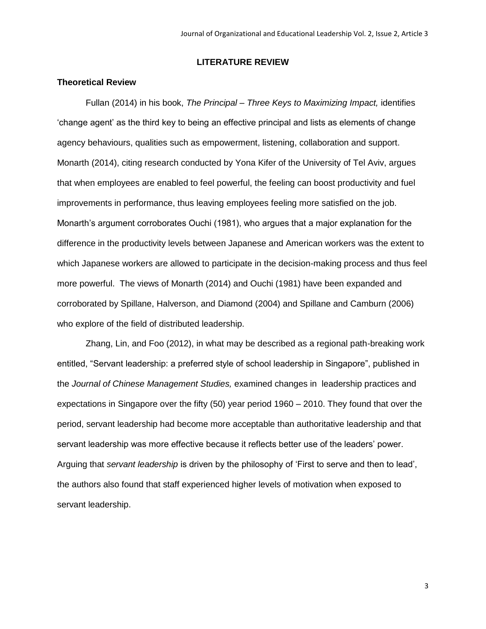# **LITERATURE REVIEW**

#### **Theoretical Review**

Fullan (2014) in his book, *The Principal – Three Keys to Maximizing Impact,* identifies 'change agent' as the third key to being an effective principal and lists as elements of change agency behaviours, qualities such as empowerment, listening, collaboration and support. Monarth (2014), citing research conducted by Yona Kifer of the University of Tel Aviv, argues that when employees are enabled to feel powerful, the feeling can boost productivity and fuel improvements in performance, thus leaving employees feeling more satisfied on the job. Monarth's argument corroborates Ouchi (1981), who argues that a major explanation for the difference in the productivity levels between Japanese and American workers was the extent to which Japanese workers are allowed to participate in the decision-making process and thus feel more powerful. The views of Monarth (2014) and Ouchi (1981) have been expanded and corroborated by Spillane, Halverson, and Diamond (2004) and Spillane and Camburn (2006) who explore of the field of distributed leadership.

Zhang, Lin, and Foo (2012), in what may be described as a regional path-breaking work entitled, "Servant leadership: a preferred style of school leadership in Singapore", published in the *Journal of Chinese Management Studies,* examined changes in leadership practices and expectations in Singapore over the fifty (50) year period 1960 – 2010. They found that over the period, servant leadership had become more acceptable than authoritative leadership and that servant leadership was more effective because it reflects better use of the leaders' power. Arguing that *servant leadership* is driven by the philosophy of 'First to serve and then to lead', the authors also found that staff experienced higher levels of motivation when exposed to servant leadership.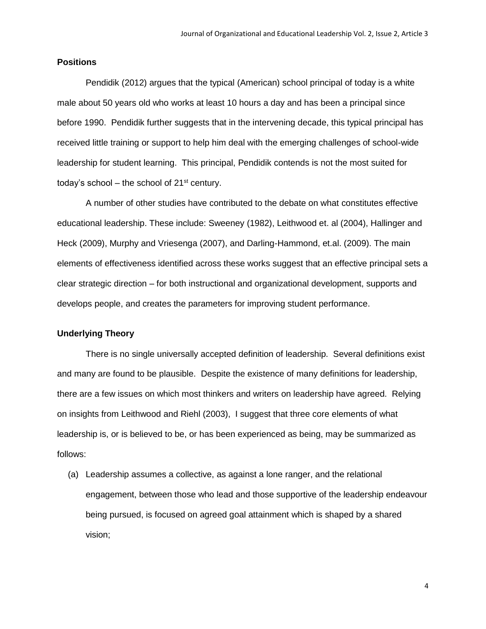#### **Positions**

Pendidik (2012) argues that the typical (American) school principal of today is a white male about 50 years old who works at least 10 hours a day and has been a principal since before 1990. Pendidik further suggests that in the intervening decade, this typical principal has received little training or support to help him deal with the emerging challenges of school-wide leadership for student learning. This principal, Pendidik contends is not the most suited for today's school – the school of  $21^{st}$  century.

A number of other studies have contributed to the debate on what constitutes effective educational leadership. These include: Sweeney (1982), Leithwood et. al (2004), Hallinger and Heck (2009), Murphy and Vriesenga (2007), and Darling-Hammond, et.al. (2009). The main elements of effectiveness identified across these works suggest that an effective principal sets a clear strategic direction – for both instructional and organizational development, supports and develops people, and creates the parameters for improving student performance.

#### **Underlying Theory**

There is no single universally accepted definition of leadership. Several definitions exist and many are found to be plausible. Despite the existence of many definitions for leadership, there are a few issues on which most thinkers and writers on leadership have agreed. Relying on insights from Leithwood and Riehl (2003), I suggest that three core elements of what leadership is, or is believed to be, or has been experienced as being, may be summarized as follows:

(a) Leadership assumes a collective, as against a lone ranger, and the relational engagement, between those who lead and those supportive of the leadership endeavour being pursued, is focused on agreed goal attainment which is shaped by a shared vision;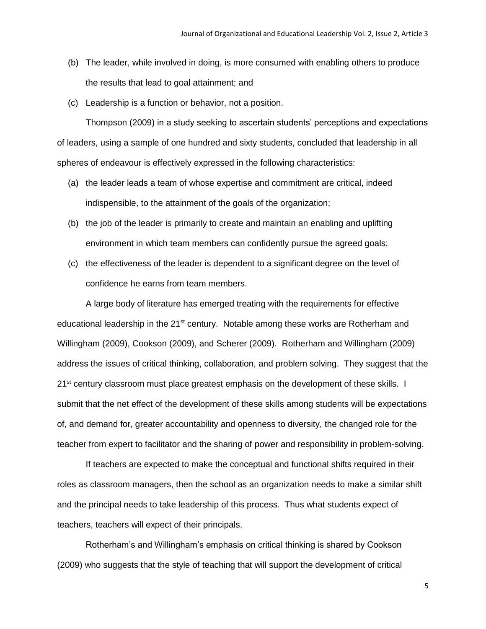- (b) The leader, while involved in doing, is more consumed with enabling others to produce the results that lead to goal attainment; and
- (c) Leadership is a function or behavior, not a position.

Thompson (2009) in a study seeking to ascertain students' perceptions and expectations of leaders, using a sample of one hundred and sixty students, concluded that leadership in all spheres of endeavour is effectively expressed in the following characteristics:

- (a) the leader leads a team of whose expertise and commitment are critical, indeed indispensible, to the attainment of the goals of the organization;
- (b) the job of the leader is primarily to create and maintain an enabling and uplifting environment in which team members can confidently pursue the agreed goals;
- (c) the effectiveness of the leader is dependent to a significant degree on the level of confidence he earns from team members.

A large body of literature has emerged treating with the requirements for effective educational leadership in the 21<sup>st</sup> century. Notable among these works are Rotherham and Willingham (2009), Cookson (2009), and Scherer (2009). Rotherham and Willingham (2009) address the issues of critical thinking, collaboration, and problem solving. They suggest that the 21<sup>st</sup> century classroom must place greatest emphasis on the development of these skills. I submit that the net effect of the development of these skills among students will be expectations of, and demand for, greater accountability and openness to diversity, the changed role for the teacher from expert to facilitator and the sharing of power and responsibility in problem-solving.

If teachers are expected to make the conceptual and functional shifts required in their roles as classroom managers, then the school as an organization needs to make a similar shift and the principal needs to take leadership of this process. Thus what students expect of teachers, teachers will expect of their principals.

Rotherham's and Willingham's emphasis on critical thinking is shared by Cookson (2009) who suggests that the style of teaching that will support the development of critical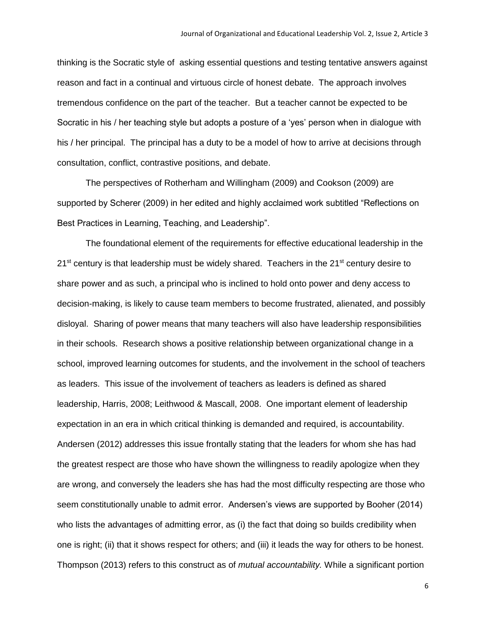thinking is the Socratic style of asking essential questions and testing tentative answers against reason and fact in a continual and virtuous circle of honest debate. The approach involves tremendous confidence on the part of the teacher. But a teacher cannot be expected to be Socratic in his / her teaching style but adopts a posture of a 'yes' person when in dialogue with his / her principal. The principal has a duty to be a model of how to arrive at decisions through consultation, conflict, contrastive positions, and debate.

The perspectives of Rotherham and Willingham (2009) and Cookson (2009) are supported by Scherer (2009) in her edited and highly acclaimed work subtitled "Reflections on Best Practices in Learning, Teaching, and Leadership".

The foundational element of the requirements for effective educational leadership in the  $21<sup>st</sup>$  century is that leadership must be widely shared. Teachers in the 21 $<sup>st</sup>$  century desire to</sup> share power and as such, a principal who is inclined to hold onto power and deny access to decision-making, is likely to cause team members to become frustrated, alienated, and possibly disloyal. Sharing of power means that many teachers will also have leadership responsibilities in their schools. Research shows a positive relationship between organizational change in a school, improved learning outcomes for students, and the involvement in the school of teachers as leaders. This issue of the involvement of teachers as leaders is defined as shared leadership, Harris, 2008; Leithwood & Mascall, 2008. One important element of leadership expectation in an era in which critical thinking is demanded and required, is accountability. Andersen (2012) addresses this issue frontally stating that the leaders for whom she has had the greatest respect are those who have shown the willingness to readily apologize when they are wrong, and conversely the leaders she has had the most difficulty respecting are those who seem constitutionally unable to admit error. Andersen's views are supported by Booher (2014) who lists the advantages of admitting error, as (i) the fact that doing so builds credibility when one is right; (ii) that it shows respect for others; and (iii) it leads the way for others to be honest. Thompson (2013) refers to this construct as of *mutual accountability.* While a significant portion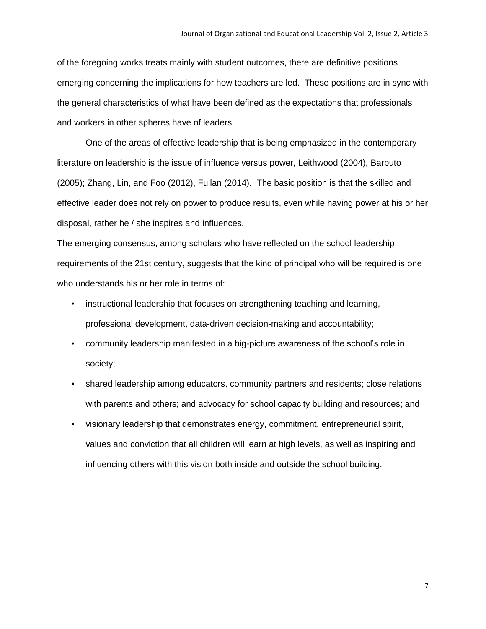of the foregoing works treats mainly with student outcomes, there are definitive positions emerging concerning the implications for how teachers are led. These positions are in sync with the general characteristics of what have been defined as the expectations that professionals and workers in other spheres have of leaders.

One of the areas of effective leadership that is being emphasized in the contemporary literature on leadership is the issue of influence versus power, Leithwood (2004), Barbuto (2005); Zhang, Lin, and Foo (2012), Fullan (2014). The basic position is that the skilled and effective leader does not rely on power to produce results, even while having power at his or her disposal, rather he / she inspires and influences.

The emerging consensus, among scholars who have reflected on the school leadership requirements of the 21st century, suggests that the kind of principal who will be required is one who understands his or her role in terms of:

- instructional leadership that focuses on strengthening teaching and learning, professional development, data-driven decision-making and accountability;
- community leadership manifested in a big-picture awareness of the school's role in society;
- shared leadership among educators, community partners and residents; close relations with parents and others; and advocacy for school capacity building and resources; and
- visionary leadership that demonstrates energy, commitment, entrepreneurial spirit, values and conviction that all children will learn at high levels, as well as inspiring and influencing others with this vision both inside and outside the school building.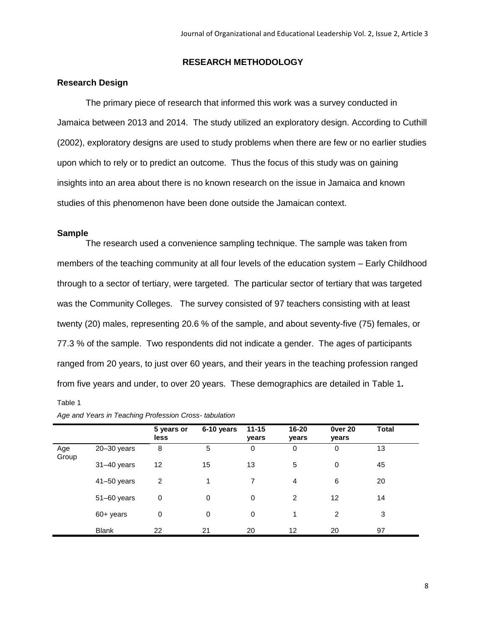#### **RESEARCH METHODOLOGY**

#### **Research Design**

The primary piece of research that informed this work was a survey conducted in Jamaica between 2013 and 2014. The study utilized an exploratory design. According to Cuthill (2002), exploratory designs are used to study problems when there are few or no earlier studies upon which to rely or to predict an outcome. Thus the focus of this study was on gaining insights into an area about there is no known research on the issue in Jamaica and known studies of this phenomenon have been done outside the Jamaican context.

#### **Sample**

The research used a convenience sampling technique. The sample was taken from members of the teaching community at all four levels of the education system – Early Childhood through to a sector of tertiary, were targeted. The particular sector of tertiary that was targeted was the Community Colleges. The survey consisted of 97 teachers consisting with at least twenty (20) males, representing 20.6 % of the sample, and about seventy-five (75) females, or 77.3 % of the sample. Two respondents did not indicate a gender. The ages of participants ranged from 20 years, to just over 60 years, and their years in the teaching profession ranged from five years and under, to over 20 years. These demographics are detailed in Table 1**.**

#### Table 1

|              |                 | 5 years or<br>less | 6-10 years | $11 - 15$<br>years | 16-20<br>years | <b>Over 20</b><br>years | <b>Total</b> |  |
|--------------|-----------------|--------------------|------------|--------------------|----------------|-------------------------|--------------|--|
| Age<br>Group | $20 - 30$ years | 8                  | 5          | 0                  | 0              | 0                       | 13           |  |
|              | $31-40$ years   | 12                 | 15         | 13                 | 5              | 0                       | 45           |  |
|              | $41 - 50$ years | $\overline{2}$     | 1          | 7                  | 4              | 6                       | 20           |  |
|              | $51-60$ years   | 0                  | 0          | $\mathbf 0$        | 2              | 12                      | 14           |  |
|              | 60+ years       | 0                  | 0          | $\mathbf 0$        | 1              | 2                       | 3            |  |
|              | <b>Blank</b>    | 22                 | 21         | 20                 | 12             | 20                      | 97           |  |

*Age and Years in Teaching Profession Cross- tabulation*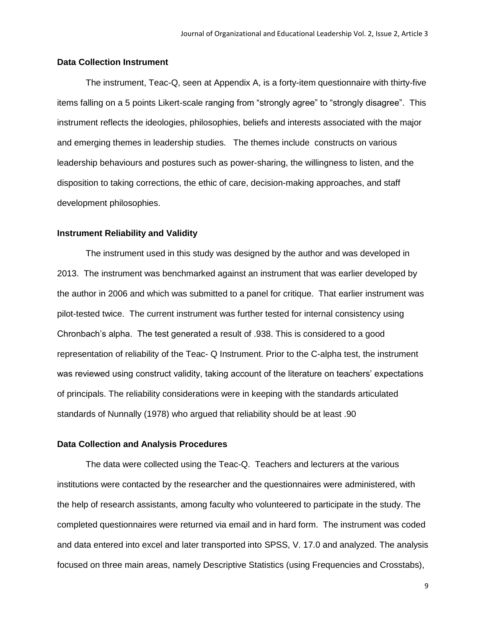#### **Data Collection Instrument**

The instrument, Teac-Q, seen at Appendix A, is a forty-item questionnaire with thirty-five items falling on a 5 points Likert-scale ranging from "strongly agree" to "strongly disagree". This instrument reflects the ideologies, philosophies, beliefs and interests associated with the major and emerging themes in leadership studies. The themes include constructs on various leadership behaviours and postures such as power-sharing, the willingness to listen, and the disposition to taking corrections, the ethic of care, decision-making approaches, and staff development philosophies.

#### **Instrument Reliability and Validity**

The instrument used in this study was designed by the author and was developed in 2013. The instrument was benchmarked against an instrument that was earlier developed by the author in 2006 and which was submitted to a panel for critique. That earlier instrument was pilot-tested twice. The current instrument was further tested for internal consistency using Chronbach's alpha. The test generated a result of .938. This is considered to a good representation of reliability of the Teac- Q Instrument. Prior to the C-alpha test, the instrument was reviewed using construct validity, taking account of the literature on teachers' expectations of principals. The reliability considerations were in keeping with the standards articulated standards of Nunnally (1978) who argued that reliability should be at least .90

#### **Data Collection and Analysis Procedures**

The data were collected using the Teac-Q. Teachers and lecturers at the various institutions were contacted by the researcher and the questionnaires were administered, with the help of research assistants, among faculty who volunteered to participate in the study. The completed questionnaires were returned via email and in hard form. The instrument was coded and data entered into excel and later transported into SPSS, V. 17.0 and analyzed. The analysis focused on three main areas, namely Descriptive Statistics (using Frequencies and Crosstabs),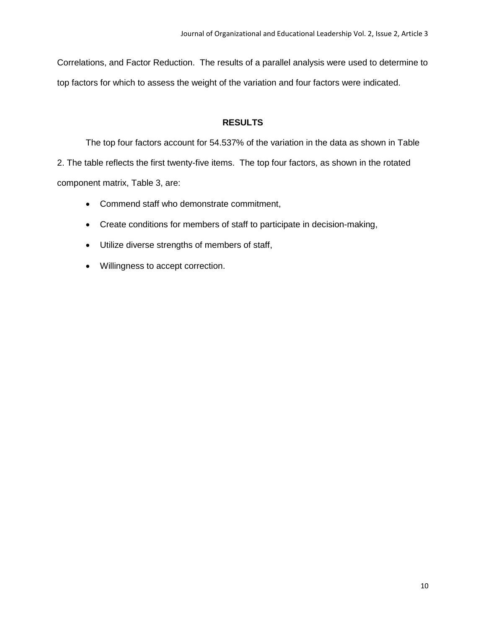Correlations, and Factor Reduction. The results of a parallel analysis were used to determine to top factors for which to assess the weight of the variation and four factors were indicated.

# **RESULTS**

The top four factors account for 54.537% of the variation in the data as shown in Table 2. The table reflects the first twenty-five items. The top four factors, as shown in the rotated component matrix, Table 3, are:

- Commend staff who demonstrate commitment,
- Create conditions for members of staff to participate in decision-making,
- Utilize diverse strengths of members of staff,
- Willingness to accept correction.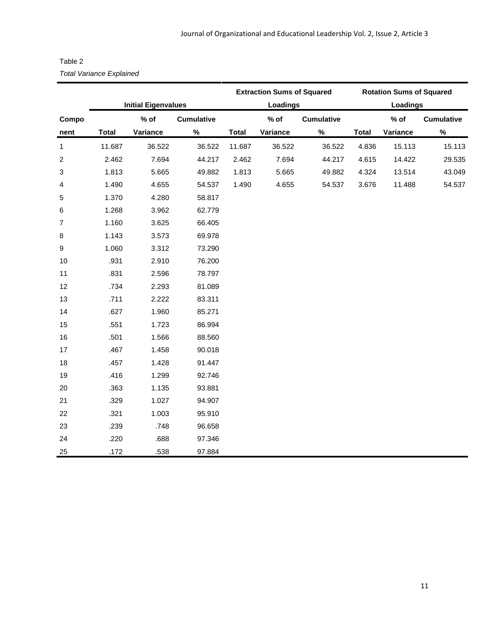| Table 2                         |  |
|---------------------------------|--|
| <b>Total Variance Explained</b> |  |

|                  | <b>Total Variance Explained</b> |                            |                   |              |                                   |                   |              |                                 |                   |  |  |
|------------------|---------------------------------|----------------------------|-------------------|--------------|-----------------------------------|-------------------|--------------|---------------------------------|-------------------|--|--|
|                  |                                 |                            |                   |              | <b>Extraction Sums of Squared</b> |                   |              | <b>Rotation Sums of Squared</b> |                   |  |  |
|                  |                                 | <b>Initial Eigenvalues</b> |                   | Loadings     |                                   |                   |              | Loadings                        |                   |  |  |
| Compo            |                                 | $%$ of                     | <b>Cumulative</b> |              | $%$ of                            | <b>Cumulative</b> |              | $%$ of                          | <b>Cumulative</b> |  |  |
| nent             | <b>Total</b>                    | Variance                   | $\%$              | <b>Total</b> | Variance                          | $\%$              | <b>Total</b> | Variance                        | $\%$              |  |  |
| $\mathbf{1}$     | 11.687                          | 36.522                     | 36.522            | 11.687       | 36.522                            | 36.522            | 4.836        | 15.113                          | 15.113            |  |  |
| $\boldsymbol{2}$ | 2.462                           | 7.694                      | 44.217            | 2.462        | 7.694                             | 44.217            | 4.615        | 14.422                          | 29.535            |  |  |
| 3                | 1.813                           | 5.665                      | 49.882            | 1.813        | 5.665                             | 49.882            | 4.324        | 13.514                          | 43.049            |  |  |
| 4                | 1.490                           | 4.655                      | 54.537            | 1.490        | 4.655                             | 54.537            | 3.676        | 11.488                          | 54.537            |  |  |
| 5                | 1.370                           | 4.280                      | 58.817            |              |                                   |                   |              |                                 |                   |  |  |
| 6                | 1.268                           | 3.962                      | 62.779            |              |                                   |                   |              |                                 |                   |  |  |
| $\overline{7}$   | 1.160                           | 3.625                      | 66.405            |              |                                   |                   |              |                                 |                   |  |  |
| $\bf 8$          | 1.143                           | 3.573                      | 69.978            |              |                                   |                   |              |                                 |                   |  |  |
| $\boldsymbol{9}$ | 1.060                           | 3.312                      | 73.290            |              |                                   |                   |              |                                 |                   |  |  |
| 10               | .931                            | 2.910                      | 76.200            |              |                                   |                   |              |                                 |                   |  |  |
| 11               | .831                            | 2.596                      | 78.797            |              |                                   |                   |              |                                 |                   |  |  |
| 12               | .734                            | 2.293                      | 81.089            |              |                                   |                   |              |                                 |                   |  |  |
| 13               | .711                            | 2.222                      | 83.311            |              |                                   |                   |              |                                 |                   |  |  |
| 14               | .627                            | 1.960                      | 85.271            |              |                                   |                   |              |                                 |                   |  |  |
| 15               | .551                            | 1.723                      | 86.994            |              |                                   |                   |              |                                 |                   |  |  |
| 16               | .501                            | 1.566                      | 88.560            |              |                                   |                   |              |                                 |                   |  |  |
| 17               | .467                            | 1.458                      | 90.018            |              |                                   |                   |              |                                 |                   |  |  |
| 18               | .457                            | 1.428                      | 91.447            |              |                                   |                   |              |                                 |                   |  |  |
| 19               | .416                            | 1.299                      | 92.746            |              |                                   |                   |              |                                 |                   |  |  |
| 20               | .363                            | 1.135                      | 93.881            |              |                                   |                   |              |                                 |                   |  |  |
| 21               | .329                            | 1.027                      | 94.907            |              |                                   |                   |              |                                 |                   |  |  |
| 22               | .321                            | 1.003                      | 95.910            |              |                                   |                   |              |                                 |                   |  |  |
| 23               | .239                            | .748                       | 96.658            |              |                                   |                   |              |                                 |                   |  |  |
| 24               | .220                            | .688                       | 97.346            |              |                                   |                   |              |                                 |                   |  |  |
| 25               | .172                            | .538                       | 97.884            |              |                                   |                   |              |                                 |                   |  |  |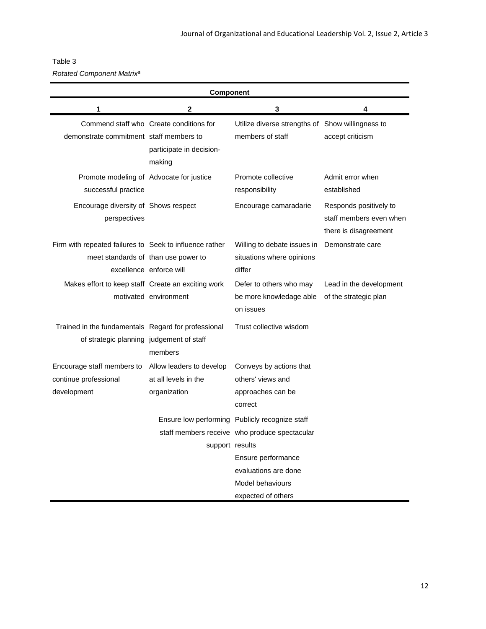# Table 3

*Rotated Component Matrix<sup>a</sup>*

| Component                                                                                       |                                                                               |                                                                                                                                               |                                                                            |  |  |
|-------------------------------------------------------------------------------------------------|-------------------------------------------------------------------------------|-----------------------------------------------------------------------------------------------------------------------------------------------|----------------------------------------------------------------------------|--|--|
| 1                                                                                               | 2                                                                             | 3                                                                                                                                             | 4                                                                          |  |  |
| demonstrate commitment staff members to                                                         | Commend staff who Create conditions for<br>participate in decision-<br>making | Utilize diverse strengths of Show willingness to<br>members of staff                                                                          | accept criticism                                                           |  |  |
| Promote modeling of Advocate for justice<br>successful practice                                 |                                                                               | Promote collective<br>responsibility                                                                                                          | Admit error when<br>established                                            |  |  |
| Encourage diversity of Shows respect<br>perspectives                                            |                                                                               | Encourage camaradarie                                                                                                                         | Responds positively to<br>staff members even when<br>there is disagreement |  |  |
| Firm with repeated failures to Seek to influence rather<br>meet standards of than use power to  | excellence enforce will                                                       | Willing to debate issues in<br>situations where opinions<br>differ                                                                            | Demonstrate care                                                           |  |  |
| Makes effort to keep staff Create an exciting work                                              | motivated environment                                                         | Defer to others who may<br>be more knowledage able<br>on issues                                                                               | Lead in the development<br>of the strategic plan                           |  |  |
| Trained in the fundamentals Regard for professional<br>of strategic planning judgement of staff | members                                                                       | Trust collective wisdom                                                                                                                       |                                                                            |  |  |
| Encourage staff members to<br>continue professional<br>development                              | Allow leaders to develop<br>at all levels in the<br>organization              | Conveys by actions that<br>others' views and<br>approaches can be<br>correct                                                                  |                                                                            |  |  |
|                                                                                                 | support results                                                               | Ensure low performing Publicly recognize staff<br>staff members receive who produce spectacular<br>Ensure performance<br>evaluations are done |                                                                            |  |  |
|                                                                                                 |                                                                               | Model behaviours<br>expected of others                                                                                                        |                                                                            |  |  |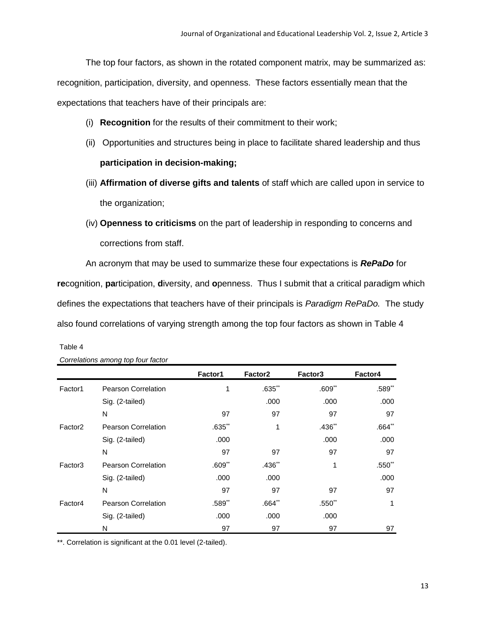The top four factors, as shown in the rotated component matrix, may be summarized as: recognition, participation, diversity, and openness. These factors essentially mean that the expectations that teachers have of their principals are:

- (i) **Recognition** for the results of their commitment to their work;
- (ii) Opportunities and structures being in place to facilitate shared leadership and thus **participation in decision-making;**
- (iii) **Affirmation of diverse gifts and talents** of staff which are called upon in service to the organization;
- (iv) **Openness to criticisms** on the part of leadership in responding to concerns and corrections from staff.

An acronym that may be used to summarize these four expectations is *RePaDo* for **re**cognition, **pa**rticipation, **d**iversity, and **o**penness. Thus I submit that a critical paradigm which defines the expectations that teachers have of their principals is *Paradigm RePaDo.* The study also found correlations of varying strength among the top four factors as shown in Table 4

|                     |                            | Factor1   | Factor <sub>2</sub> | Factor3     | Factor4  |
|---------------------|----------------------------|-----------|---------------------|-------------|----------|
| Factor1             | <b>Pearson Correlation</b> | 1         | $.635**$            | $.609$ **   | .589**   |
|                     | Sig. (2-tailed)            |           | .000                | .000        | .000     |
|                     | N                          | 97        | 97                  | 97          | 97       |
| Factor <sub>2</sub> | <b>Pearson Correlation</b> | $.635**$  | 1                   | $.436**$    | $.664**$ |
|                     | Sig. (2-tailed)            | .000      |                     | .000        | .000     |
|                     | N                          | 97        | 97                  | 97          | 97       |
| Factor <sub>3</sub> | <b>Pearson Correlation</b> | $.609**$  | $.436**$            | 1           | $.550**$ |
|                     | Sig. (2-tailed)            | .000      | .000                |             | .000     |
|                     | N                          | 97        | 97                  | 97          | 97       |
| Factor4             | <b>Pearson Correlation</b> | $.589$ ** | $.664**$            | $.550^{**}$ | 1        |
|                     | Sig. (2-tailed)            | .000      | .000                | .000        |          |
|                     | N                          | 97        | 97                  | 97          | 97       |

*Correlations among top four factor*

Table 4

\*\*. Correlation is significant at the 0.01 level (2-tailed).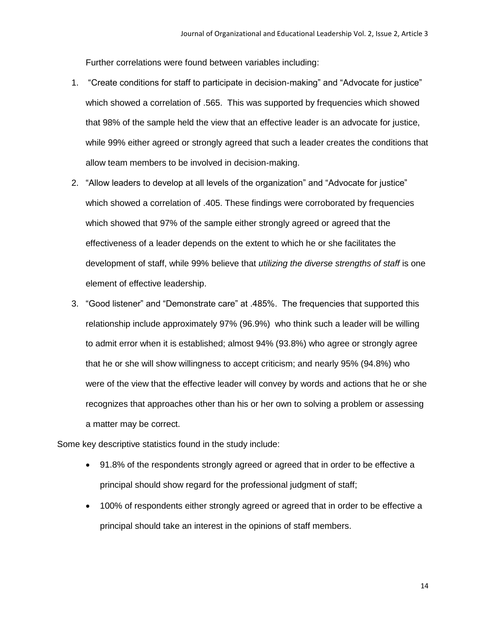Further correlations were found between variables including:

- 1. "Create conditions for staff to participate in decision-making" and "Advocate for justice" which showed a correlation of .565. This was supported by frequencies which showed that 98% of the sample held the view that an effective leader is an advocate for justice, while 99% either agreed or strongly agreed that such a leader creates the conditions that allow team members to be involved in decision-making.
- 2. "Allow leaders to develop at all levels of the organization" and "Advocate for justice" which showed a correlation of .405. These findings were corroborated by frequencies which showed that 97% of the sample either strongly agreed or agreed that the effectiveness of a leader depends on the extent to which he or she facilitates the development of staff, while 99% believe that *utilizing the diverse strengths of staff* is one element of effective leadership.
- 3. "Good listener" and "Demonstrate care" at .485%. The frequencies that supported this relationship include approximately 97% (96.9%) who think such a leader will be willing to admit error when it is established; almost 94% (93.8%) who agree or strongly agree that he or she will show willingness to accept criticism; and nearly 95% (94.8%) who were of the view that the effective leader will convey by words and actions that he or she recognizes that approaches other than his or her own to solving a problem or assessing a matter may be correct.

Some key descriptive statistics found in the study include:

- 91.8% of the respondents strongly agreed or agreed that in order to be effective a principal should show regard for the professional judgment of staff;
- 100% of respondents either strongly agreed or agreed that in order to be effective a principal should take an interest in the opinions of staff members.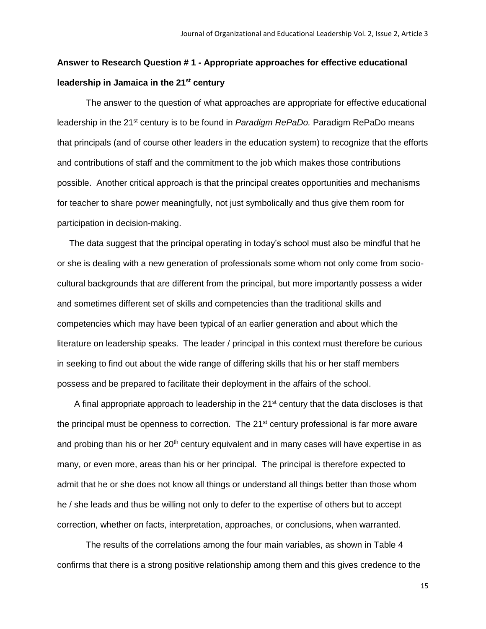# **Answer to Research Question # 1** *-* **Appropriate approaches for effective educational leadership in Jamaica in the 21st century**

 The answer to the question of what approaches are appropriate for effective educational leadership in the 21st century is to be found in *Paradigm RePaDo.* Paradigm RePaDo means that principals (and of course other leaders in the education system) to recognize that the efforts and contributions of staff and the commitment to the job which makes those contributions possible. Another critical approach is that the principal creates opportunities and mechanisms for teacher to share power meaningfully, not just symbolically and thus give them room for participation in decision-making.

 The data suggest that the principal operating in today's school must also be mindful that he or she is dealing with a new generation of professionals some whom not only come from sociocultural backgrounds that are different from the principal, but more importantly possess a wider and sometimes different set of skills and competencies than the traditional skills and competencies which may have been typical of an earlier generation and about which the literature on leadership speaks. The leader / principal in this context must therefore be curious in seeking to find out about the wide range of differing skills that his or her staff members possess and be prepared to facilitate their deployment in the affairs of the school.

A final appropriate approach to leadership in the  $21<sup>st</sup>$  century that the data discloses is that the principal must be openness to correction. The  $21<sup>st</sup>$  century professional is far more aware and probing than his or her  $20<sup>th</sup>$  century equivalent and in many cases will have expertise in as many, or even more, areas than his or her principal. The principal is therefore expected to admit that he or she does not know all things or understand all things better than those whom he / she leads and thus be willing not only to defer to the expertise of others but to accept correction, whether on facts, interpretation, approaches, or conclusions, when warranted.

The results of the correlations among the four main variables, as shown in Table 4 confirms that there is a strong positive relationship among them and this gives credence to the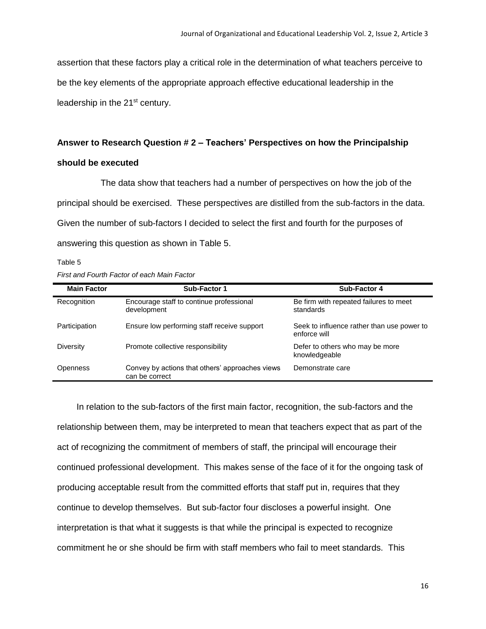assertion that these factors play a critical role in the determination of what teachers perceive to be the key elements of the appropriate approach effective educational leadership in the leadership in the 21<sup>st</sup> century.

# **Answer to Research Question # 2** *–* **Teachers' Perspectives on how the Principalship should be executed**

 The data show that teachers had a number of perspectives on how the job of the principal should be exercised. These perspectives are distilled from the sub-factors in the data. Given the number of sub-factors I decided to select the first and fourth for the purposes of answering this question as shown in Table 5.

Table 5 *First and Fourth Factor of each Main Factor*

| <b>Main Factor</b> | Sub-Factor 1                                                      | Sub-Factor 4                                               |
|--------------------|-------------------------------------------------------------------|------------------------------------------------------------|
| Recognition        | Encourage staff to continue professional<br>development           | Be firm with repeated failures to meet<br>standards        |
| Participation      | Ensure low performing staff receive support                       | Seek to influence rather than use power to<br>enforce will |
| Diversity          | Promote collective responsibility                                 | Defer to others who may be more<br>knowledgeable           |
| <b>Openness</b>    | Convey by actions that others' approaches views<br>can be correct | Demonstrate care                                           |

 In relation to the sub-factors of the first main factor, recognition, the sub-factors and the relationship between them, may be interpreted to mean that teachers expect that as part of the act of recognizing the commitment of members of staff, the principal will encourage their continued professional development. This makes sense of the face of it for the ongoing task of producing acceptable result from the committed efforts that staff put in, requires that they continue to develop themselves. But sub-factor four discloses a powerful insight. One interpretation is that what it suggests is that while the principal is expected to recognize commitment he or she should be firm with staff members who fail to meet standards. This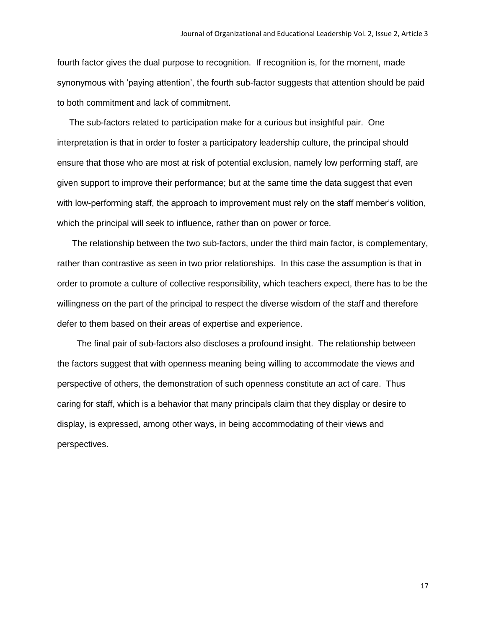fourth factor gives the dual purpose to recognition. If recognition is, for the moment, made synonymous with 'paying attention', the fourth sub-factor suggests that attention should be paid to both commitment and lack of commitment.

 The sub-factors related to participation make for a curious but insightful pair. One interpretation is that in order to foster a participatory leadership culture, the principal should ensure that those who are most at risk of potential exclusion, namely low performing staff, are given support to improve their performance; but at the same time the data suggest that even with low-performing staff, the approach to improvement must rely on the staff member's volition, which the principal will seek to influence, rather than on power or force.

 The relationship between the two sub-factors, under the third main factor, is complementary, rather than contrastive as seen in two prior relationships. In this case the assumption is that in order to promote a culture of collective responsibility, which teachers expect, there has to be the willingness on the part of the principal to respect the diverse wisdom of the staff and therefore defer to them based on their areas of expertise and experience.

 The final pair of sub-factors also discloses a profound insight. The relationship between the factors suggest that with openness meaning being willing to accommodate the views and perspective of others, the demonstration of such openness constitute an act of care. Thus caring for staff, which is a behavior that many principals claim that they display or desire to display, is expressed, among other ways, in being accommodating of their views and perspectives.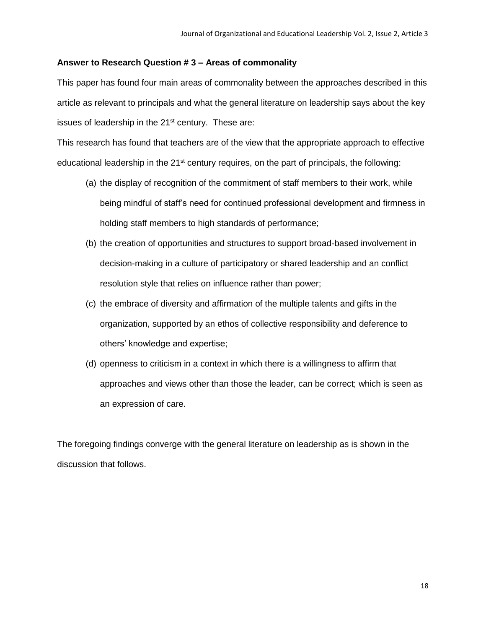## **Answer to Research Question # 3 – Areas of commonality**

This paper has found four main areas of commonality between the approaches described in this article as relevant to principals and what the general literature on leadership says about the key issues of leadership in the 21<sup>st</sup> century. These are:

This research has found that teachers are of the view that the appropriate approach to effective educational leadership in the  $21<sup>st</sup>$  century requires, on the part of principals, the following:

- (a) the display of recognition of the commitment of staff members to their work, while being mindful of staff's need for continued professional development and firmness in holding staff members to high standards of performance;
- (b) the creation of opportunities and structures to support broad-based involvement in decision-making in a culture of participatory or shared leadership and an conflict resolution style that relies on influence rather than power;
- (c) the embrace of diversity and affirmation of the multiple talents and gifts in the organization, supported by an ethos of collective responsibility and deference to others' knowledge and expertise;
- (d) openness to criticism in a context in which there is a willingness to affirm that approaches and views other than those the leader, can be correct; which is seen as an expression of care.

The foregoing findings converge with the general literature on leadership as is shown in the discussion that follows.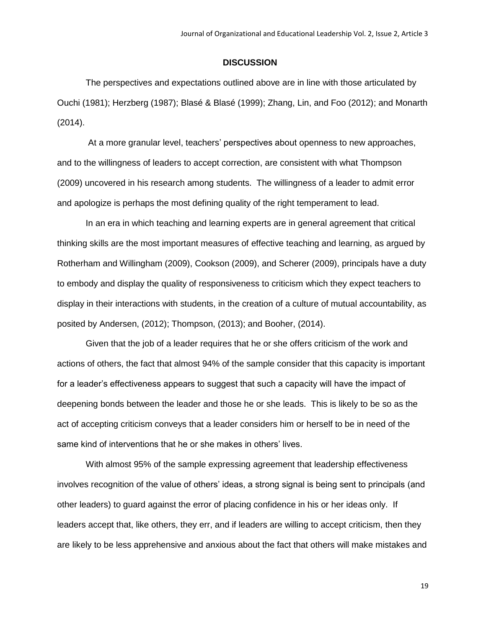#### **DISCUSSION**

The perspectives and expectations outlined above are in line with those articulated by Ouchi (1981); Herzberg (1987); Blasé & Blasé (1999); Zhang, Lin, and Foo (2012); and Monarth (2014).

At a more granular level, teachers' perspectives about openness to new approaches, and to the willingness of leaders to accept correction, are consistent with what Thompson (2009) uncovered in his research among students. The willingness of a leader to admit error and apologize is perhaps the most defining quality of the right temperament to lead.

In an era in which teaching and learning experts are in general agreement that critical thinking skills are the most important measures of effective teaching and learning, as argued by Rotherham and Willingham (2009), Cookson (2009), and Scherer (2009), principals have a duty to embody and display the quality of responsiveness to criticism which they expect teachers to display in their interactions with students, in the creation of a culture of mutual accountability, as posited by Andersen, (2012); Thompson, (2013); and Booher, (2014).

Given that the job of a leader requires that he or she offers criticism of the work and actions of others, the fact that almost 94% of the sample consider that this capacity is important for a leader's effectiveness appears to suggest that such a capacity will have the impact of deepening bonds between the leader and those he or she leads. This is likely to be so as the act of accepting criticism conveys that a leader considers him or herself to be in need of the same kind of interventions that he or she makes in others' lives.

With almost 95% of the sample expressing agreement that leadership effectiveness involves recognition of the value of others' ideas, a strong signal is being sent to principals (and other leaders) to guard against the error of placing confidence in his or her ideas only. If leaders accept that, like others, they err, and if leaders are willing to accept criticism, then they are likely to be less apprehensive and anxious about the fact that others will make mistakes and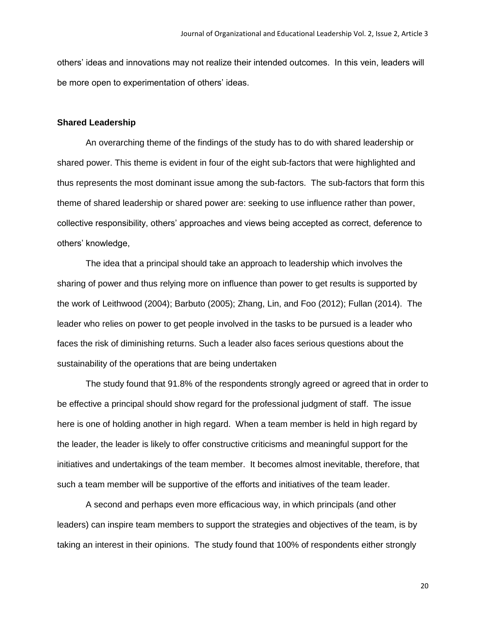others' ideas and innovations may not realize their intended outcomes. In this vein, leaders will be more open to experimentation of others' ideas.

#### **Shared Leadership**

An overarching theme of the findings of the study has to do with shared leadership or shared power. This theme is evident in four of the eight sub-factors that were highlighted and thus represents the most dominant issue among the sub-factors. The sub-factors that form this theme of shared leadership or shared power are: seeking to use influence rather than power, collective responsibility, others' approaches and views being accepted as correct, deference to others' knowledge,

The idea that a principal should take an approach to leadership which involves the sharing of power and thus relying more on influence than power to get results is supported by the work of Leithwood (2004); Barbuto (2005); Zhang, Lin, and Foo (2012); Fullan (2014). The leader who relies on power to get people involved in the tasks to be pursued is a leader who faces the risk of diminishing returns. Such a leader also faces serious questions about the sustainability of the operations that are being undertaken

The study found that 91.8% of the respondents strongly agreed or agreed that in order to be effective a principal should show regard for the professional judgment of staff. The issue here is one of holding another in high regard. When a team member is held in high regard by the leader, the leader is likely to offer constructive criticisms and meaningful support for the initiatives and undertakings of the team member. It becomes almost inevitable, therefore, that such a team member will be supportive of the efforts and initiatives of the team leader.

A second and perhaps even more efficacious way, in which principals (and other leaders) can inspire team members to support the strategies and objectives of the team, is by taking an interest in their opinions. The study found that 100% of respondents either strongly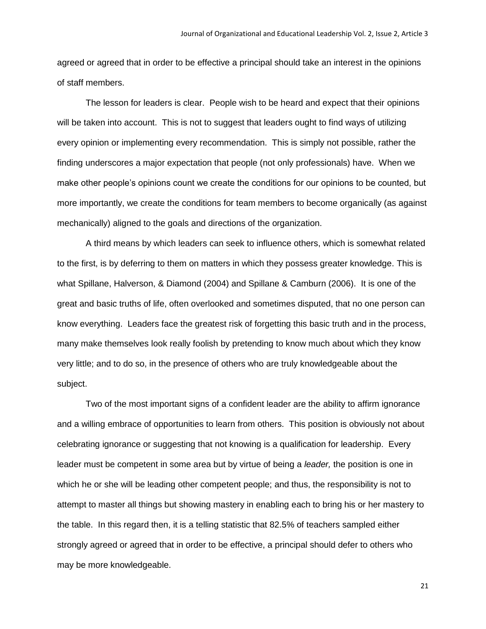agreed or agreed that in order to be effective a principal should take an interest in the opinions of staff members.

The lesson for leaders is clear. People wish to be heard and expect that their opinions will be taken into account. This is not to suggest that leaders ought to find ways of utilizing every opinion or implementing every recommendation. This is simply not possible, rather the finding underscores a major expectation that people (not only professionals) have. When we make other people's opinions count we create the conditions for our opinions to be counted, but more importantly, we create the conditions for team members to become organically (as against mechanically) aligned to the goals and directions of the organization.

A third means by which leaders can seek to influence others, which is somewhat related to the first, is by deferring to them on matters in which they possess greater knowledge. This is what Spillane, Halverson, & Diamond (2004) and Spillane & Camburn (2006). It is one of the great and basic truths of life, often overlooked and sometimes disputed, that no one person can know everything. Leaders face the greatest risk of forgetting this basic truth and in the process, many make themselves look really foolish by pretending to know much about which they know very little; and to do so, in the presence of others who are truly knowledgeable about the subject.

Two of the most important signs of a confident leader are the ability to affirm ignorance and a willing embrace of opportunities to learn from others. This position is obviously not about celebrating ignorance or suggesting that not knowing is a qualification for leadership. Every leader must be competent in some area but by virtue of being a *leader,* the position is one in which he or she will be leading other competent people; and thus, the responsibility is not to attempt to master all things but showing mastery in enabling each to bring his or her mastery to the table. In this regard then, it is a telling statistic that 82.5% of teachers sampled either strongly agreed or agreed that in order to be effective, a principal should defer to others who may be more knowledgeable.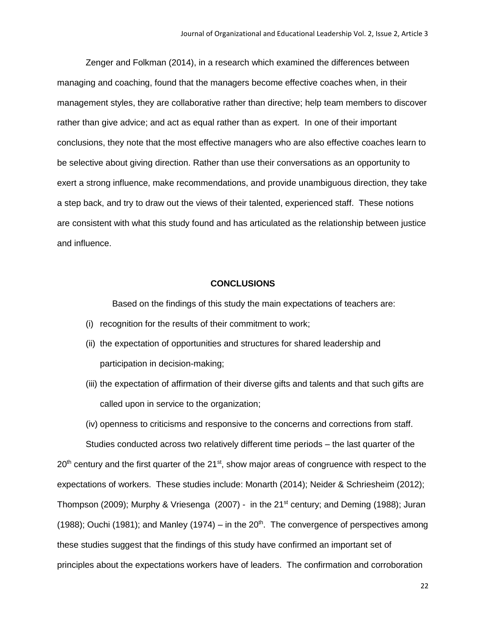Zenger and Folkman (2014), in a research which examined the differences between managing and coaching, found that the managers become effective coaches when, in their management styles, they are collaborative rather than directive; help team members to discover rather than give advice; and act as equal rather than as expert. In one of their important conclusions, they note that the most effective managers who are also effective coaches learn to be selective about giving direction. Rather than use their conversations as an opportunity to exert a strong influence, make recommendations, and provide unambiguous direction, they take a step back, and try to draw out the views of their talented, experienced staff. These notions are consistent with what this study found and has articulated as the relationship between justice and influence.

#### **CONCLUSIONS**

Based on the findings of this study the main expectations of teachers are:

- (i) recognition for the results of their commitment to work;
- (ii) the expectation of opportunities and structures for shared leadership and participation in decision-making;
- (iii) the expectation of affirmation of their diverse gifts and talents and that such gifts are called upon in service to the organization;

(iv) openness to criticisms and responsive to the concerns and corrections from staff.

Studies conducted across two relatively different time periods – the last quarter of the 20<sup>th</sup> century and the first quarter of the 21<sup>st</sup>, show major areas of congruence with respect to the expectations of workers. These studies include: Monarth (2014); Neider & Schriesheim (2012); Thompson (2009); Murphy & Vriesenga (2007) - in the 21<sup>st</sup> century; and Deming (1988); Juran (1988); Ouchi (1981); and Manley (1974) – in the  $20<sup>th</sup>$ . The convergence of perspectives among these studies suggest that the findings of this study have confirmed an important set of principles about the expectations workers have of leaders. The confirmation and corroboration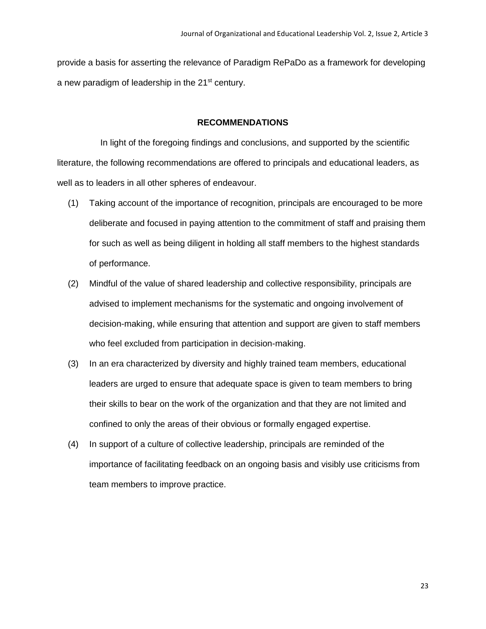provide a basis for asserting the relevance of Paradigm RePaDo as a framework for developing a new paradigm of leadership in the 21<sup>st</sup> century.

# **RECOMMENDATIONS**

 In light of the foregoing findings and conclusions, and supported by the scientific literature, the following recommendations are offered to principals and educational leaders, as well as to leaders in all other spheres of endeavour.

- (1) Taking account of the importance of recognition, principals are encouraged to be more deliberate and focused in paying attention to the commitment of staff and praising them for such as well as being diligent in holding all staff members to the highest standards of performance.
- (2) Mindful of the value of shared leadership and collective responsibility, principals are advised to implement mechanisms for the systematic and ongoing involvement of decision-making, while ensuring that attention and support are given to staff members who feel excluded from participation in decision-making.
- (3) In an era characterized by diversity and highly trained team members, educational leaders are urged to ensure that adequate space is given to team members to bring their skills to bear on the work of the organization and that they are not limited and confined to only the areas of their obvious or formally engaged expertise.
- (4) In support of a culture of collective leadership, principals are reminded of the importance of facilitating feedback on an ongoing basis and visibly use criticisms from team members to improve practice.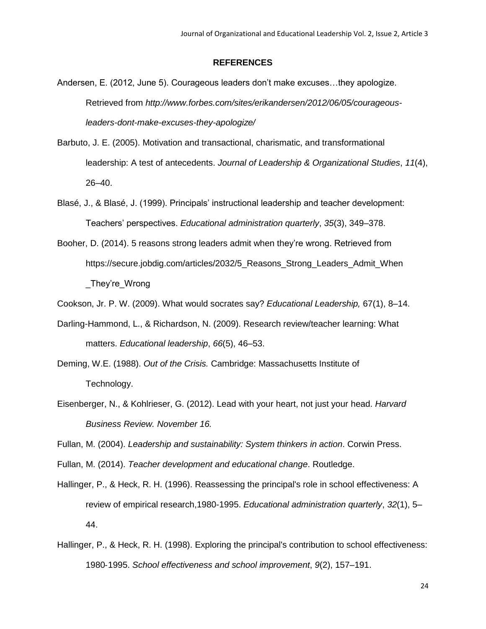#### **REFERENCES**

- Andersen, E. (2012, June 5). Courageous leaders don't make excuses…they apologize. Retrieved from *http://www.forbes.com/sites/erikandersen/2012/06/05/courageousleaders-dont-make-excuses-they-apologize/*
- Barbuto, J. E. (2005). Motivation and transactional, charismatic, and transformational leadership: A test of antecedents. *Journal of Leadership & Organizational Studies*, *11*(4), 26–40.
- Blasé, J., & Blasé, J. (1999). Principals' instructional leadership and teacher development: Teachers' perspectives. *Educational administration quarterly*, *35*(3), 349–378.
- Booher, D. (2014). 5 reasons strong leaders admit when they're wrong. Retrieved from https://secure.jobdig.com/articles/2032/5\_Reasons\_Strong\_Leaders\_Admit\_When \_They're\_Wrong
- Cookson, Jr. P. W. (2009). What would socrates say? *Educational Leadership,* 67(1), 8–14.
- Darling-Hammond, L., & Richardson, N. (2009). Research review/teacher learning: What matters. *Educational leadership*, *66*(5), 46–53.
- Deming, W.E. (1988). *Out of the Crisis.* Cambridge: Massachusetts Institute of Technology.
- Eisenberger, N., & Kohlrieser, G. (2012). Lead with your heart, not just your head. *Harvard Business Review. November 16.*
- Fullan, M. (2004). *Leadership and sustainability: System thinkers in action*. Corwin Press.
- Fullan, M. (2014). *Teacher development and educational change*. Routledge.
- Hallinger, P., & Heck, R. H. (1996). Reassessing the principal's role in school effectiveness: A review of empirical research,1980-1995. *Educational administration quarterly*, *32*(1), 5– 44.
- Hallinger, P., & Heck, R. H. (1998). Exploring the principal's contribution to school effectiveness: 1980‐1995. *School effectiveness and school improvement*, *9*(2), 157–191.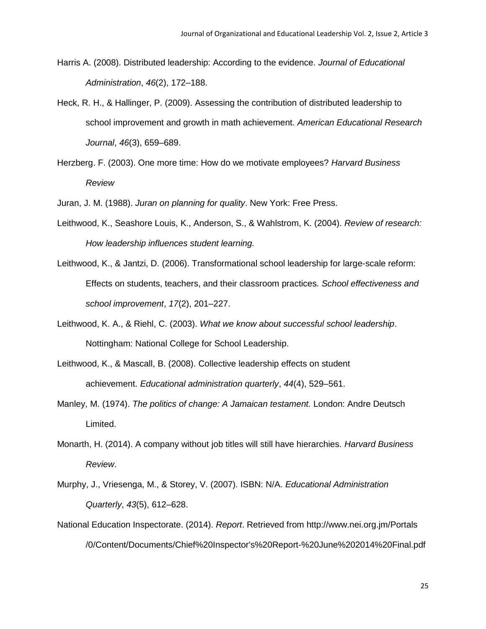- Harris A. (2008). Distributed leadership: According to the evidence. *Journal of Educational Administration*, *46*(2), 172–188.
- Heck, R. H., & Hallinger, P. (2009). Assessing the contribution of distributed leadership to school improvement and growth in math achievement. *American Educational Research Journal*, *46*(3), 659–689.
- Herzberg. F. (2003). One more time: How do we motivate employees? *Harvard Business Review*

Juran, J. M. (1988). *Juran on planning for quality*. New York: Free Press.

- Leithwood, K., Seashore Louis, K., Anderson, S., & Wahlstrom, K. (2004). *Review of research: How leadership influences student learning.*
- Leithwood, K., & Jantzi, D. (2006). Transformational school leadership for large-scale reform: Effects on students, teachers, and their classroom practices. *School effectiveness and school improvement*, *17*(2), 201–227.
- Leithwood, K. A., & Riehl, C. (2003). *What we know about successful school leadership*. Nottingham: National College for School Leadership.
- Leithwood, K., & Mascall, B. (2008). Collective leadership effects on student achievement. *Educational administration quarterly*, *44*(4), 529–561.
- Manley, M. (1974). *The politics of change: A Jamaican testament.* London: Andre Deutsch Limited.
- Monarth, H. (2014). A company without job titles will still have hierarchies. *Harvard Business Review*.
- Murphy, J., Vriesenga, M., & Storey, V. (2007). ISBN: N/A. *Educational Administration Quarterly*, *43*(5), 612–628.
- National Education Inspectorate. (2014). *Report*. Retrieved from http://www.nei.org.jm/Portals /0/Content/Documents/Chief%20Inspector's%20Report-%20June%202014%20Final.pdf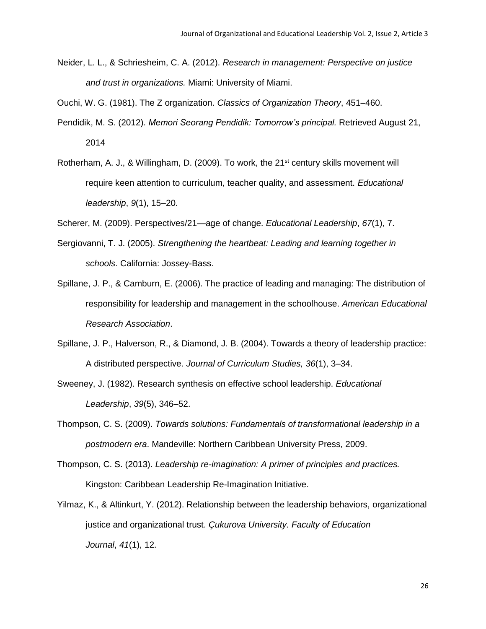Neider, L. L., & Schriesheim, C. A. (2012). *Research in management: Perspective on justice and trust in organizations.* Miami: University of Miami.

Ouchi, W. G. (1981). The Z organization. *Classics of Organization Theory*, 451–460.

- Pendidik, M. S. (2012). *Memori Seorang Pendidik: Tomorrow's principal.* Retrieved August 21, 2014
- Rotherham, A. J., & Willingham, D. (2009). To work, the 21<sup>st</sup> century skills movement will require keen attention to curriculum, teacher quality, and assessment. *Educational leadership*, *9*(1), 15–20.

Scherer, M. (2009). Perspectives/21—age of change. *Educational Leadership*, *67*(1), 7.

- Sergiovanni, T. J. (2005). *Strengthening the heartbeat: Leading and learning together in schools*. California: Jossey-Bass.
- Spillane, J. P., & Camburn, E. (2006). The practice of leading and managing: The distribution of responsibility for leadership and management in the schoolhouse. *American Educational Research Association*.
- Spillane, J. P., Halverson, R., & Diamond, J. B. (2004). Towards a theory of leadership practice: A distributed perspective. *Journal of Curriculum Studies, 36*(1), 3–34.
- Sweeney, J. (1982). Research synthesis on effective school leadership. *Educational Leadership*, *39*(5), 346–52.
- Thompson, C. S. (2009). *Towards solutions: Fundamentals of transformational leadership in a postmodern era*. Mandeville: Northern Caribbean University Press, 2009.
- Thompson, C. S. (2013). *Leadership re-imagination: A primer of principles and practices.* Kingston: Caribbean Leadership Re-Imagination Initiative.
- Yilmaz, K., & Altinkurt, Y. (2012). Relationship between the leadership behaviors, organizational justice and organizational trust. *Çukurova University. Faculty of Education Journal*, *41*(1), 12.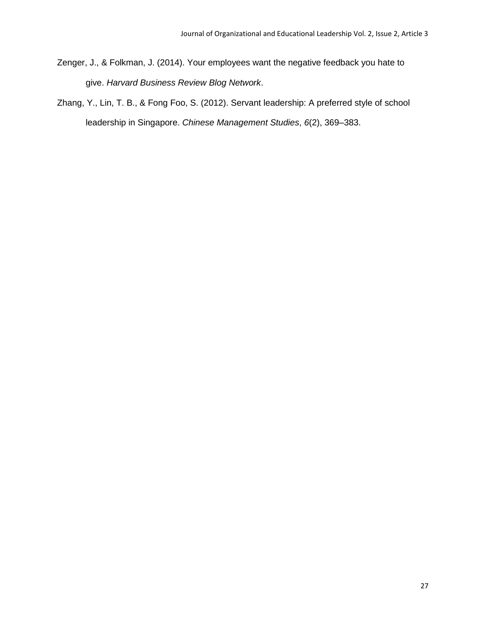- Zenger, J., & Folkman, J. (2014). Your employees want the negative feedback you hate to give. *Harvard Business Review Blog Network*.
- Zhang, Y., Lin, T. B., & Fong Foo, S. (2012). Servant leadership: A preferred style of school leadership in Singapore. *Chinese Management Studies*, *6*(2), 369–383.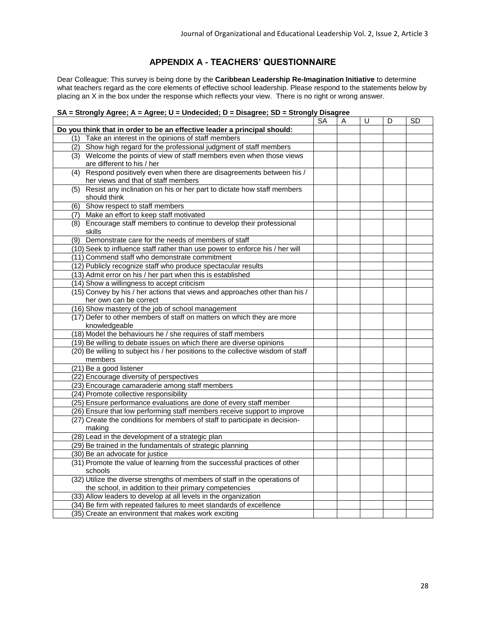# **APPENDIX A - TEACHERS' QUESTIONNAIRE**

Dear Colleague: This survey is being done by the **Caribbean Leadership Re-Imagination Initiative** to determine what teachers regard as the core elements of effective school leadership. Please respond to the statements below by placing an X in the box under the response which reflects your view. There is no right or wrong answer.

#### **SA = Strongly Agree; A = Agree; U = Undecided; D = Disagree; SD = Strongly Disagree**

|                                                                                      | SA | A | U | D | SD |
|--------------------------------------------------------------------------------------|----|---|---|---|----|
| Do you think that in order to be an effective leader a principal should:             |    |   |   |   |    |
| (1) Take an interest in the opinions of staff members                                |    |   |   |   |    |
| (2) Show high regard for the professional judgment of staff members                  |    |   |   |   |    |
| (3) Welcome the points of view of staff members even when those views                |    |   |   |   |    |
| are different to his / her                                                           |    |   |   |   |    |
| (4) Respond positively even when there are disagreements between his /               |    |   |   |   |    |
| her views and that of staff members                                                  |    |   |   |   |    |
| Resist any inclination on his or her part to dictate how staff members<br>(5)        |    |   |   |   |    |
| should think                                                                         |    |   |   |   |    |
| (6) Show respect to staff members                                                    |    |   |   |   |    |
| (7) Make an effort to keep staff motivated                                           |    |   |   |   |    |
| (8) Encourage staff members to continue to develop their professional                |    |   |   |   |    |
| skills                                                                               |    |   |   |   |    |
| Demonstrate care for the needs of members of staff<br>(9)                            |    |   |   |   |    |
| (10) Seek to influence staff rather than use power to enforce his / her will         |    |   |   |   |    |
| (11) Commend staff who demonstrate commitment                                        |    |   |   |   |    |
| (12) Publicly recognize staff who produce spectacular results                        |    |   |   |   |    |
| (13) Admit error on his / her part when this is established                          |    |   |   |   |    |
| (14) Show a willingness to accept criticism                                          |    |   |   |   |    |
| (15) Convey by his / her actions that views and approaches other than his /          |    |   |   |   |    |
| her own can be correct                                                               |    |   |   |   |    |
| (16) Show mastery of the job of school management                                    |    |   |   |   |    |
| (17) Defer to other members of staff on matters on which they are more               |    |   |   |   |    |
| knowledgeable                                                                        |    |   |   |   |    |
| (18) Model the behaviours he / she requires of staff members                         |    |   |   |   |    |
| (19) Be willing to debate issues on which there are diverse opinions                 |    |   |   |   |    |
| (20) Be willing to subject his / her positions to the collective wisdom of staff     |    |   |   |   |    |
| members                                                                              |    |   |   |   |    |
| (21) Be a good listener                                                              |    |   |   |   |    |
| (22) Encourage diversity of perspectives                                             |    |   |   |   |    |
| (23) Encourage camaraderie among staff members                                       |    |   |   |   |    |
| (24) Promote collective responsibility                                               |    |   |   |   |    |
| (25) Ensure performance evaluations are done of every staff member                   |    |   |   |   |    |
| (26) Ensure that low performing staff members receive support to improve             |    |   |   |   |    |
| (27) Create the conditions for members of staff to participate in decision-          |    |   |   |   |    |
| making                                                                               |    |   |   |   |    |
| (28) Lead in the development of a strategic plan                                     |    |   |   |   |    |
| (29) Be trained in the fundamentals of strategic planning                            |    |   |   |   |    |
| (30) Be an advocate for justice                                                      |    |   |   |   |    |
| (31) Promote the value of learning from the successful practices of other<br>schools |    |   |   |   |    |
| (32) Utilize the diverse strengths of members of staff in the operations of          |    |   |   |   |    |
| the school, in addition to their primary competencies                                |    |   |   |   |    |
| (33) Allow leaders to develop at all levels in the organization                      |    |   |   |   |    |
| (34) Be firm with repeated failures to meet standards of excellence                  |    |   |   |   |    |
| (35) Create an environment that makes work exciting                                  |    |   |   |   |    |
|                                                                                      |    |   |   |   |    |